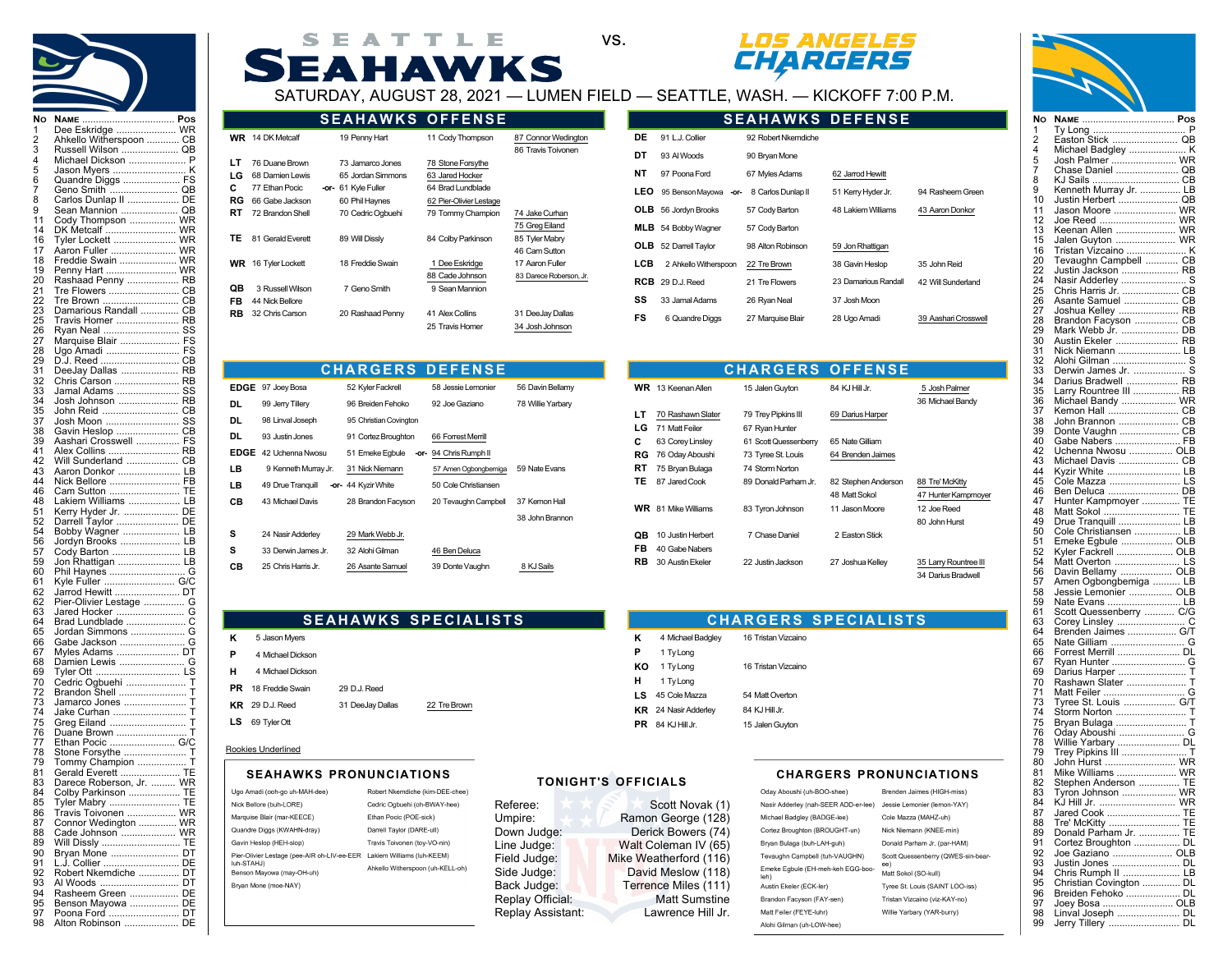



|  |  | SEATTLE |  |                                                                                                                                                                                                                                                                                                                                                             |  |
|--|--|---------|--|-------------------------------------------------------------------------------------------------------------------------------------------------------------------------------------------------------------------------------------------------------------------------------------------------------------------------------------------------------------|--|
|  |  |         |  | <b>SEAHAWKS</b>                                                                                                                                                                                                                                                                                                                                             |  |
|  |  |         |  | $\bigcap_{n}$ $\bigcap_{n}$ $\bigcap_{n}$ $\bigcap_{n}$ $\bigcap_{n}$ $\bigcap_{n}$ $\bigcap_{n}$ $\bigcap_{n}$ $\bigcap_{n}$ $\bigcap_{n}$ $\bigcap_{n}$ $\bigcap_{n}$ $\bigcap_{n}$ $\bigcap_{n}$ $\bigcap_{n}$ $\bigcap_{n}$ $\bigcap_{n}$ $\bigcap_{n}$ $\bigcap_{n}$ $\bigcap_{n}$ $\bigcap_{n}$ $\bigcap_{n}$ $\bigcap_{n}$ $\bigcap_{n}$ $\bigcap_{$ |  |





**SEAHAWKS DEFENSE**

SATURDAY, AUGUST 28, 2021 — LUMEN FIELD — SEATTLE, WASH. — KICKOFF 7:00 P.M.

|                     |                                                                        | <b>SEAHAWKS OFFENSE</b>                                                        |                                                                                      |                                            |
|---------------------|------------------------------------------------------------------------|--------------------------------------------------------------------------------|--------------------------------------------------------------------------------------|--------------------------------------------|
|                     | <b>WR</b> 14 DK Metcalf                                                | 19 Penny Hart                                                                  | 11 Cody Thompson                                                                     | 87 Connor Wedington<br>86 Travis Toivonen  |
| LТ<br>LG<br>C<br>RG | 76 Duane Brown<br>68 Damien Lewis<br>77 Ethan Pocic<br>66 Gabe Jackson | 73 Jamarco Jones<br>65 Jordan Simmons<br>-or- 61 Kyle Fuller<br>60 Phil Haynes | 78 Stone Forsythe<br>63 Jared Hocker<br>64 Brad Lundblade<br>62 Pier-Olivier Lestage |                                            |
| RT                  | 72 Brandon Shell                                                       | 70 Cedric Ogbuehi                                                              | 79 Tommy Champion                                                                    | 74 Jake Curhan<br>75 Greg Eiland           |
| TΕ                  | 81 Gerald Everett                                                      | 89 Will Dissly                                                                 | 84 Colby Parkinson                                                                   | 85 Tyler Mabry<br>46 Cam Sutton            |
| WR.                 | 16 Tyler Lockett                                                       | 18 Freddie Swain                                                               | 1 Dee Eskridge<br>88 Cade Johnson                                                    | 17 Aaron Fuller<br>83 Darece Roberson, Jr. |
| QB<br>FB            | 3 Russell Wilson<br>44 Nick Bellore                                    | 7 Geno Smith                                                                   | 9 Sean Mannion                                                                       |                                            |
| RB                  | 32 Chris Carson                                                        | 20 Rashaad Penny                                                               | 41 Alex Collins<br>25 Travis Homer                                                   | 31 DeeJay Dallas<br>34 Josh Johnson        |

| DE         | 91 L.J. Collier            | 92 Robert Nkemdiche |                      |                      |
|------------|----------------------------|---------------------|----------------------|----------------------|
| DT         | 93 Al Woods                | 90 Bryan Mone       |                      |                      |
| NΤ         | 97 Poona Ford              | 67 Myles Adams      | 62 Jarrod Hewitt     |                      |
| LEO        | 95 Benson Mayowa<br>-or-   | 8 Carlos Dunlap II  | 51 Kerry Hyder Jr.   | 94 Rasheem Green     |
| OLB.       | 56 Jordyn Brooks           | 57 Cody Barton      | 48 Lakiem Williams   | 43 Aaron Donkor      |
|            | <b>MLB</b> 54 Bobby Wagner | 57 Cody Barton      |                      |                      |
| OLB        | 52 Darrell Taylor          | 98 Alton Robinson   | 59 Jon Rhattigan     |                      |
| LCB        | 2 Ahkello Witherspoon      | 22 Tre Brown        | 38 Gavin Heslop      | 35 John Reid         |
| <b>RCB</b> | 29 D.J. Reed               | 21 Tre Flowers      | 23 Damarious Randall | 42 Will Sunderland   |
| SS         | 33 Jamal Adams             | 26 Ryan Neal        | 37 Josh Moon         |                      |
| FS         | 6 Quandre Diggs            | 27 Marquise Blair   | 28 Ugo Amadi         | 39 Aashari Crosswell |
|            |                            |                     |                      |                      |

|      |                      | <b>CHARGERS DEFENSE</b> |                        |                   |
|------|----------------------|-------------------------|------------------------|-------------------|
| EDGE | 97 Joey Bosa         | 52 Kyler Fackrell       | 58 Jessie Lemonier     | 56 Davin Bellamy  |
| DL   | 99 Jerry Tillery     | 96 Breiden Fehoko       | 92 Joe Gaziano         | 78 Willie Yarbary |
| DL   | 98 Linval Joseph     | 95 Christian Covington  |                        |                   |
| DL   | 93 Justin Jones      | 91 Cortez Broughton     | 66 Forrest Merrill     |                   |
| EDGE | 42 Uchenna Nwosu     | 51 Emeke Egbule         | -or- 94 Chris Rumph II |                   |
| LВ   | 9 Kenneth Murray Jr. | 31 Nick Niemann         | 57 Amen Ogbongbemiga   | 59 Nate Evans     |
| LΒ   | 49 Drue Tranquill    | -or- 44 Kyzir White     | 50 Cole Christiansen   |                   |
| CВ   | 43 Michael Davis     | 28 Brandon Facyson      | 20 Tevaughn Campbell   | 37 Kemon Hall     |
|      |                      |                         |                        | 38 John Brannon   |
| s    | 24 Nasir Adderley    | 29 Mark Webb Jr.        |                        |                   |
| s    | 33 Derwin James Jr.  | 32 Alohi Gilman         | 46 Ben Deluca          |                   |
| CВ   | 25 Chris Harris Jr.  | 26 Asante Samuel        | 39 Donte Vaughn        | 8 KJ Sails        |

|           |                           | <b>CHARGERS OFFENSE</b> |                     |                       |
|-----------|---------------------------|-------------------------|---------------------|-----------------------|
|           | <b>WR</b> 13 Keenan Allen | 15 Jalen Guyton         | 84 KJ Hill Jr.      | 5 Josh Palmer         |
|           |                           |                         |                     | 36 Michael Bandy      |
| LТ        | 70 Rashawn Slater         | 79 Trey Pipkins III     | 69 Darius Harper    |                       |
| LG        | 71 Matt Feiler            | 67 Ryan Hunter          |                     |                       |
| C         | 63 Corey Linsley          | 61 Scott Quessenberry   | 65 Nate Gilliam     |                       |
| RG        | 76 Oday Aboushi           | 73 Tyree St. Louis      | 64 Brenden Jaimes   |                       |
| RT        | 75 Bryan Bulaga           | 74 Storm Norton         |                     |                       |
| TЕ        | 87 Jared Cook             | 89 Donald Parham Jr.    | 82 Stephen Anderson | 88 Tre' McKitty       |
|           |                           |                         | 48 Matt Sokol       | 47 Hunter Kampmoyer   |
| WR.       | 81 Mike Williams          | 83 Tyron Johnson        | 11 Jason Moore      | 12 Joe Reed           |
|           |                           |                         |                     | 80 John Hurst         |
| QB        | 10 Justin Herbert         | 7 Chase Daniel          | 2 Easton Stick      |                       |
| FB        | 40 Gabe Nabers            |                         |                     |                       |
| <b>RB</b> | 30 Austin Ekeler          | 22 Justin Jackson       | 27 Joshua Kelley    | 35 Larry Rountree III |
|           |                           |                         |                     | 34 Darius Bradwell    |

**CHARGERS SPECIALISTS**

K 4 Michael Badgley 16 Tristan Vizcaino

KO 1 Ty Long 16 Tristan Vizcaino

LS 45 Cole Mazza 54 Matt Overton KR 24 Nasir Adderley 84 KJ Hill Jr. **PR** 84 KJ Hill Jr. 15 Jalen Guyton

**P** 1 Ty Long

**H** 1 Ty Long

## **SEAHAWKS SPECIALISTS**

- **K** 5 Jason Myers **P** 4 Michael Dickson **H** 4 Michael Dickson **PR** 18 Freddie Swain 29 D.J. Reed
- KR 29 D.J. Reed 31 DeeJay Dallas 22 Tre Brown
- **LS** 69 Tyler Ott

## Rookies Underlined

| Ugo Amadi (ooh-go uh-MAH-dee)                                          | Robert Nkemdiche (kim-DEE-chee)  |
|------------------------------------------------------------------------|----------------------------------|
| Nick Bellore (buh-LORE)                                                | Cedric Ogbuehi (oh-BWAY-hee)     |
| Marquise Blair (mar-KEECE)                                             | Ethan Pocic (POE-sick)           |
| Quandre Diggs (KWAHN-dray)                                             | Darrell Taylor (DARE-ull)        |
| Gavin Heslop (HEH-slop)                                                | Travis Toivonen (tov-VO-nin)     |
| Pier-Olivier Lestage (pee-AIR oh-LIV-ee-EER Lakiem Williams (luh-KEEM) |                                  |
| luh-STAHJ)<br>Benson Mayowa (may-OH-uh)                                | Ahkello Witherspoon (uh-KELL-oh) |
| Brvan Mone (moe-NAY)                                                   |                                  |
|                                                                        |                                  |

# SEAHAWKS PRONUNCIATIONS<br>Amadi (ooh-go uh-MAH-dee) Robert Nkemdiche (kim-DEE-chee) **TONIGHT'S OFFICIALS**

Referee: Scott Novak (1)<br>Umpire: Ramon George (128) Ramon George (128) Down Judge: Derick Bowers (74) Line Judge: Walt Coleman IV (65)<br>Field Judge: Mike Weatherford (116) Field Judge: Mike Weatherford (116)<br>Side Judge: David Meslow (118) Side Judge: David Meslow (118)<br>Back Judge: Terrence Miles (111) Terrence Miles (111)<br>Matt Sumstine Replay Official: Matt Sumstine<br>
Replay Assistant: Lawrence Hill Jr. Replay Assistant:

## **CHARGERS PRONUNCIATIONS**

| Oday Aboushi (uh-BOO-shee)                | Brenden Jaimes (HIGH-miss)         |
|-------------------------------------------|------------------------------------|
| Nasir Adderley (nah-SEER ADD-er-lee)      | Jessie Lemonier (lemon-YAY)        |
| Michael Badgley (BADGE-lee)               | Cole Mazza (MAHZ-uh)               |
| Cortez Broughton (BROUGHT-un)             | Nick Niemann (KNEE-min)            |
| Brvan Bulaga (buh-LAH-guh)                | Donald Parham Jr. (par-HAM)        |
| Tevaughn Campbell (tuh-VAUGHN)            | Scott Quessenberry (QWES-sin-bear- |
| Emeke Egbule (EH-meh-keh EGG-boo-<br>leh) | ee)<br>Matt Sokol (SO-kull)        |
| Austin Ekeler (ECK-ler)                   | Tyree St. Louis (SAINT LOO-iss)    |
| Brandon Facyson (FAY-sen)                 | Tristan Vizcaino (viz-KAY-no)      |
| Matt Feiler (FEYE-luhr)                   | Willie Yarbary (YAR-burry)         |
| Alohi Gilman (uh-LOW-hee)                 |                                    |
|                                           |                                    |



| 1                   | <br>Ty Long                                 | P               |
|---------------------|---------------------------------------------|-----------------|
| $\overline{c}$<br>4 | Easton Stick<br>Michael Badgley             | QB<br>Κ         |
| 5                   | Josh Palmer  WR                             |                 |
| 7                   | Chase Daniel  QB                            |                 |
| 8<br>9              | KJ Sails  CB<br>Kenneth Murray Jr.  LB      |                 |
| 10                  | Justin Herbert  QB                          |                 |
| 11                  | Jason Moore  WR                             |                 |
| 12<br>13            | Joe Reed<br>Keenan Allen                    | <b>WR</b><br>WR |
| 15                  | Jalen Guyton  WR                            |                 |
| 16                  | Tristan Vizcaino  K                         |                 |
| 20<br>22            | Tevaughn Campbell<br>Justin Jackson         | CВ<br>RB        |
| 24                  | Nasir Adderley                              | S               |
| 25                  | Chris Harris Jr.  CB                        |                 |
| 26<br>27            | Asante Samuel<br>Joshua Kelley              | CВ<br>RB        |
| 28                  | Brandon Facyson                             | CВ              |
| 29                  | Mark Webb Jr.                               | DB              |
| 30                  | Austin Ekeler                               | RB              |
| 31<br>32            | Nick Niemann  LB<br>Alohi Gilman            |                 |
| 33                  | Derwin James Jr.                            | S               |
| 34                  | Darius Bradwell                             | RB              |
| 35<br>36            | Larry Rountree III  RB<br>Michael Bandy  WR |                 |
| 37                  | Kemon Hall                                  | CВ              |
| 38                  | John Brannon                                | CВ              |
| 39<br>40            | Gabe Nabers                                 | FB              |
| 42                  | Uchenna Nwosu  OLB                          |                 |
| 43                  | Michael Davis  CB                           |                 |
| 44<br>45            | Kyzir White  LB<br>Cole Mazza               | LS              |
| 46                  | Ben Deluca                                  | DB              |
| 47                  | Hunter Kampmoyer                            | ΤE              |
| 48                  | Matt Sokol                                  | TЕ              |
| 49<br>50            | Drue Tranquill<br>Cole Christiansen  LB     | LВ              |
| 51                  | Emeke Egbule  OLB                           |                 |
| 52                  | Kyler Fackrell  OLB                         |                 |
| 54<br>56            | Matt Overton  LS<br>Davin Bellamy           | OLB             |
| 57                  | Amen Ogbongbemiga  LB                       |                 |
| 58                  | Jessie Lemonier  OLB                        |                 |
| 59<br>61            | Nate Evans  LB<br>Scott Quessenberry  C/G   |                 |
| 63                  | Corey Linsley                               | С               |
| 64                  | Brenden Jaimes  G/T                         |                 |
| 65<br>66            | Forrest Merrill                             | DL              |
| 67                  | Ryan Hunter                                 |                 |
| 69                  |                                             | G               |
|                     | Darius Harper                               |                 |
| 70                  | Rashawn Slater                              | Τ               |
| 71<br>73            | Matt Feiler  G<br>Tyree St. Louis  G/T      |                 |
| 74                  |                                             |                 |
| 75                  | Bryan Bulaga  T                             |                 |
| 76<br>78            | Willie Yarbary  DL                          |                 |
| 79                  | Trey Pipkins III  T                         |                 |
| 80                  | John Hurst  WR                              |                 |
| 81<br>82            | Mike Williams  WR<br>Stephen Anderson  TE   |                 |
| 83                  | Tyron Johnson  WR                           |                 |
| 84                  | KJ Hill Jr.  WR                             |                 |
| 87<br>88            | Jared Cook  TE<br>Tre' McKitty  TE          |                 |
| 89                  | Donald Parham Jr.  TE                       |                 |
| 91                  | Cortez Broughton  DL                        |                 |
| 92<br>93            | Joe Gaziano  OLB<br>Justin Jones  DL        |                 |
| 94                  | Chris Rumph II  LB                          |                 |
| 95                  | Christian Covington  DL                     |                 |
| 96<br>97            | Breiden Fehoko  DL                          |                 |
| 98                  | Joey Bosa  OLB<br>Linval Joseph  DL         |                 |
| 99                  | Jerry Tillery  DL                           |                 |